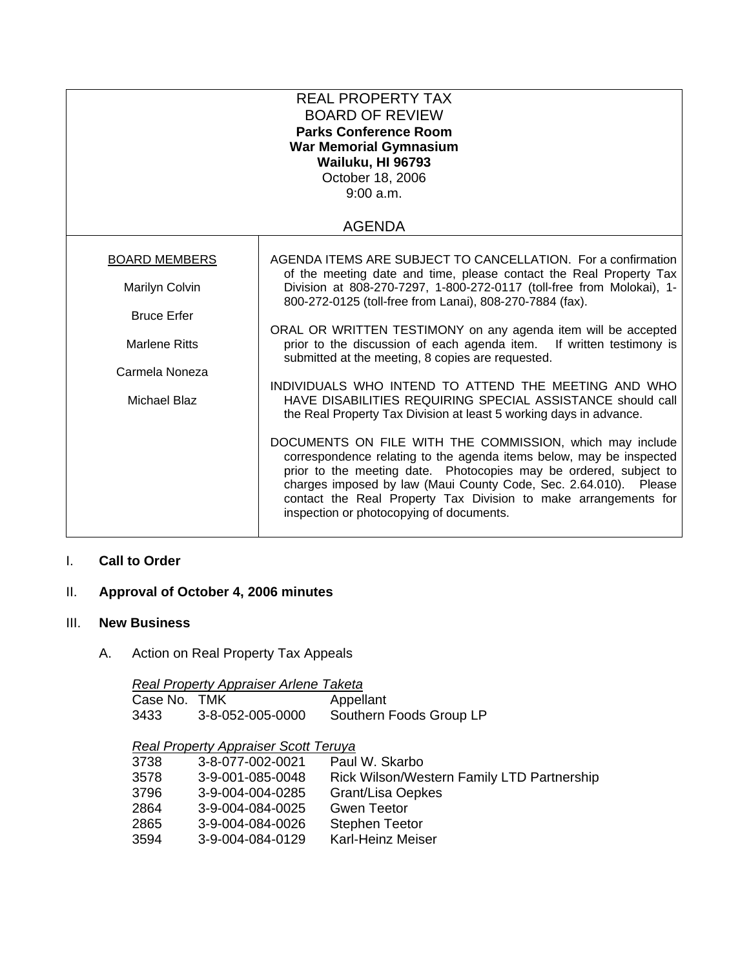| <b>REAL PROPERTY TAX</b><br><b>BOARD OF REVIEW</b><br><b>Parks Conference Room</b><br><b>War Memorial Gymnasium</b><br>Wailuku, HI 96793<br>October 18, 2006<br>9:00 a.m. |                                                                                                                                                                                                                                                                                                                                                                                         |  |  |  |
|---------------------------------------------------------------------------------------------------------------------------------------------------------------------------|-----------------------------------------------------------------------------------------------------------------------------------------------------------------------------------------------------------------------------------------------------------------------------------------------------------------------------------------------------------------------------------------|--|--|--|
| <b>AGENDA</b>                                                                                                                                                             |                                                                                                                                                                                                                                                                                                                                                                                         |  |  |  |
| <b>BOARD MEMBERS</b>                                                                                                                                                      | AGENDA ITEMS ARE SUBJECT TO CANCELLATION. For a confirmation<br>of the meeting date and time, please contact the Real Property Tax                                                                                                                                                                                                                                                      |  |  |  |
| Marilyn Colvin                                                                                                                                                            | Division at 808-270-7297, 1-800-272-0117 (toll-free from Molokai), 1-<br>800-272-0125 (toll-free from Lanai), 808-270-7884 (fax).                                                                                                                                                                                                                                                       |  |  |  |
| <b>Bruce Erfer</b>                                                                                                                                                        |                                                                                                                                                                                                                                                                                                                                                                                         |  |  |  |
| <b>Marlene Ritts</b>                                                                                                                                                      | ORAL OR WRITTEN TESTIMONY on any agenda item will be accepted<br>prior to the discussion of each agenda item. If written testimony is<br>submitted at the meeting, 8 copies are requested.                                                                                                                                                                                              |  |  |  |
| Carmela Noneza                                                                                                                                                            |                                                                                                                                                                                                                                                                                                                                                                                         |  |  |  |
| Michael Blaz                                                                                                                                                              | INDIVIDUALS WHO INTEND TO ATTEND THE MEETING AND WHO<br>HAVE DISABILITIES REQUIRING SPECIAL ASSISTANCE should call<br>the Real Property Tax Division at least 5 working days in advance.                                                                                                                                                                                                |  |  |  |
|                                                                                                                                                                           | DOCUMENTS ON FILE WITH THE COMMISSION, which may include<br>correspondence relating to the agenda items below, may be inspected<br>prior to the meeting date. Photocopies may be ordered, subject to<br>charges imposed by law (Maui County Code, Sec. 2.64.010). Please<br>contact the Real Property Tax Division to make arrangements for<br>inspection or photocopying of documents. |  |  |  |

# I. **Call to Order**

# II. **Approval of October 4, 2006 minutes**

## III. **New Business**

A. Action on Real Property Tax Appeals

| Real Property Appraiser Arlene Taketa       |                                 |                         |  |  |
|---------------------------------------------|---------------------------------|-------------------------|--|--|
| Case No. TMK                                |                                 | Appellant               |  |  |
| 3433                                        | 3-8-052-005-0000                | Southern Foods Group LP |  |  |
| <b>Real Property Appraiser Scott Teruya</b> |                                 |                         |  |  |
| 3738                                        | 3-8-077-002-0021 Paul W. Skarbo |                         |  |  |

| 3738 | 3-8-077-002-0021 | Paul W. Skarbo                             |
|------|------------------|--------------------------------------------|
| 3578 | 3-9-001-085-0048 | Rick Wilson/Western Family LTD Partnership |
| 3796 | 3-9-004-004-0285 | <b>Grant/Lisa Oepkes</b>                   |
| 2864 | 3-9-004-084-0025 | <b>Gwen Teetor</b>                         |
| 2865 | 3-9-004-084-0026 | <b>Stephen Teetor</b>                      |
| 3594 | 3-9-004-084-0129 | <b>Karl-Heinz Meiser</b>                   |